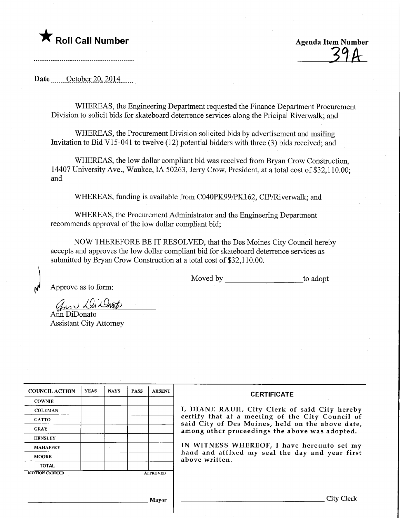## **T** Roll Call Number Agenda Item Number

 $39A$ 

## Date <u>Cotober 20</u>, 2014

WHEREAS, the Engineering Department requested the Finance Department Procurement Division to solicit bids for skateboard deterrence services along the Pricipal Riverwalk; and

WHEREAS, the Procurement Division solicited bids by advertisement and mailing Invitation to Bid V15-041 to twelve (12) potential bidders with three (3) bids received; and

WHEREAS, the low dollar compliant bid was received from Bryan Crow Construction, 14407 University Ave., Waukee, IA 50263, Jerry Crow, President, at a total cost of \$32,110.00; and

WHEREAS, funding is available from C040PK99/PK162, CIP/Riverwalk; and

WHEREAS, the Procurement Administrator and the Engineering Department recommends approval of the low dollar compliant bid;

NOW THEREFORE BE IT RESOLVED, that the Des Moines City Council hereby accepts and approves the low dollar compliant bid for skateboard deterrence services as submitted by Bryan Crow Construction at a total cost of \$32,110.00.

Moved by to adopt

Approve as to form:

ann Di Dont

Ann DiDonato Assistant City Attorney

| <b>COUNCIL ACTION</b> | <b>YEAS</b> | <b>NAYS</b> | <b>PASS</b> | <b>ABSENT</b>   | <b>CERTIFICATE</b>                                                                                                                                     |  |  |  |  |  |  |
|-----------------------|-------------|-------------|-------------|-----------------|--------------------------------------------------------------------------------------------------------------------------------------------------------|--|--|--|--|--|--|
| <b>COWNIE</b>         |             |             |             |                 |                                                                                                                                                        |  |  |  |  |  |  |
| <b>COLEMAN</b>        |             |             |             |                 | I, DIANE RAUH, City Clerk of said City hereby                                                                                                          |  |  |  |  |  |  |
| <b>GATTO</b>          |             |             |             |                 | certify that at a meeting of the City Council of<br>said City of Des Moines, held on the above date,<br>among other proceedings the above was adopted. |  |  |  |  |  |  |
| <b>GRAY</b>           |             |             |             |                 |                                                                                                                                                        |  |  |  |  |  |  |
| <b>HENSLEY</b>        |             |             |             |                 |                                                                                                                                                        |  |  |  |  |  |  |
| <b>MAHAFFEY</b>       |             |             |             |                 | IN WITNESS WHEREOF, I have hereunto set my                                                                                                             |  |  |  |  |  |  |
| <b>MOORE</b>          |             |             |             |                 | hand and affixed my seal the day and year first<br>above written.                                                                                      |  |  |  |  |  |  |
| <b>TOTAL</b>          |             |             |             |                 |                                                                                                                                                        |  |  |  |  |  |  |
| <b>MOTION CARRIED</b> |             |             |             | <b>APPROVED</b> |                                                                                                                                                        |  |  |  |  |  |  |
|                       |             |             |             |                 |                                                                                                                                                        |  |  |  |  |  |  |
|                       |             |             |             |                 |                                                                                                                                                        |  |  |  |  |  |  |
|                       |             |             |             | Mayor           | City Clerk                                                                                                                                             |  |  |  |  |  |  |